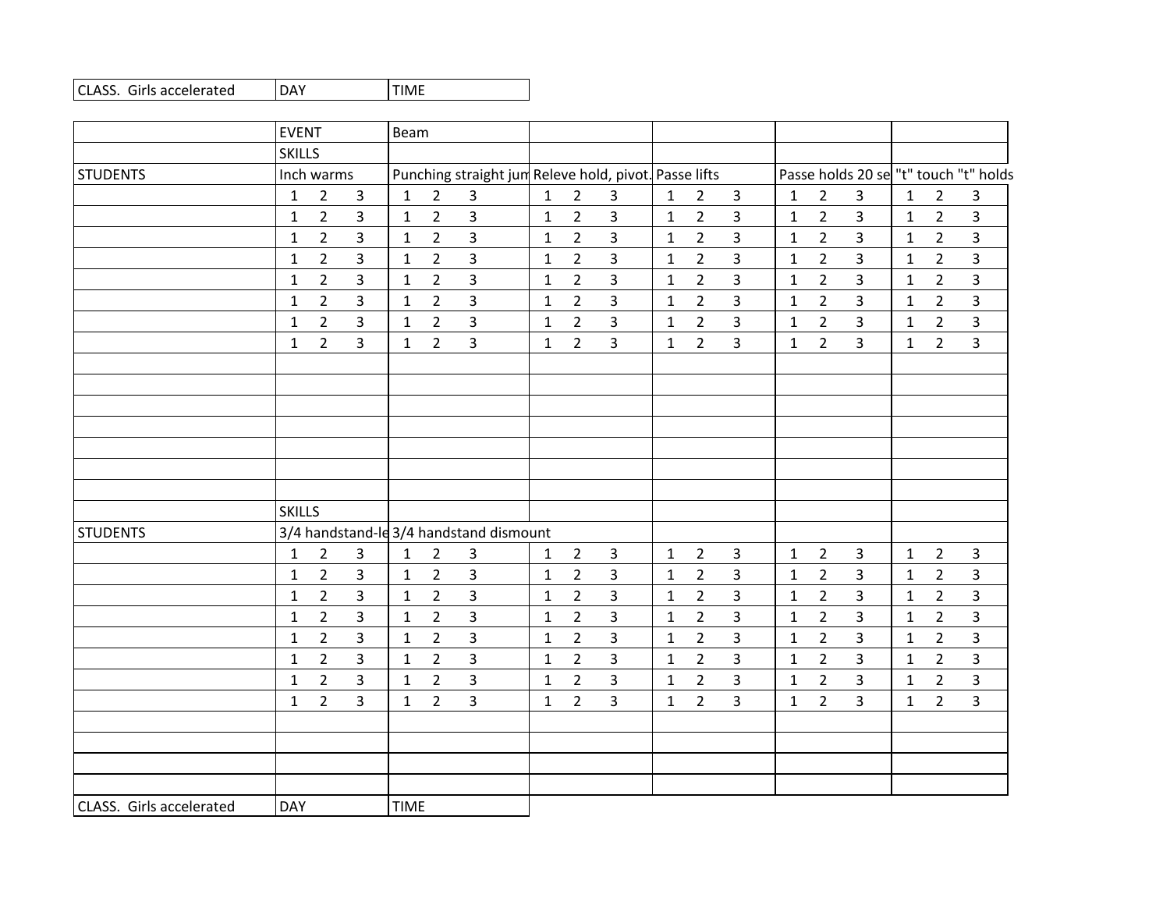| <b>IDAY</b><br>CLASS. Girls accelerated<br><b>ITIME</b> |
|---------------------------------------------------------|
|---------------------------------------------------------|

|                          | <b>EVENT</b>  |                |                | Beam         |                |                                                       |              |                |                         |              |                |                |              |                |                         |              |                |                                       |
|--------------------------|---------------|----------------|----------------|--------------|----------------|-------------------------------------------------------|--------------|----------------|-------------------------|--------------|----------------|----------------|--------------|----------------|-------------------------|--------------|----------------|---------------------------------------|
|                          | <b>SKILLS</b> |                |                |              |                |                                                       |              |                |                         |              |                |                |              |                |                         |              |                |                                       |
| <b>STUDENTS</b>          |               | Inch warms     |                |              |                | Punching straight jum Releve hold, pivot. Passe lifts |              |                |                         |              |                |                |              |                |                         |              |                | Passe holds 20 se "t" touch "t" holds |
|                          | $\mathbf{1}$  | $\overline{2}$ | $\overline{3}$ | $\mathbf{1}$ | $\overline{2}$ | $\overline{3}$                                        | $\mathbf{1}$ | $\overline{2}$ | 3                       | $\mathbf{1}$ | $\overline{2}$ | $\overline{3}$ | $\mathbf{1}$ | $\overline{2}$ | $\mathbf{3}$            | $\mathbf{1}$ | $\overline{2}$ | 3                                     |
|                          | $\mathbf{1}$  | $\overline{2}$ | $\mathbf{3}$   | $\mathbf{1}$ | $\overline{2}$ | $\overline{3}$                                        | $\mathbf{1}$ | $\overline{2}$ | $\overline{3}$          | $\mathbf{1}$ | $\overline{2}$ | $\overline{3}$ | $\mathbf{1}$ | $\overline{2}$ | $\overline{3}$          | $\mathbf{1}$ | $\overline{2}$ | $\overline{3}$                        |
|                          | 1             | $2^{\circ}$    | $\mathbf{3}$   | $\mathbf{1}$ | $\mathbf{2}$   | $\overline{3}$                                        | $\mathbf{1}$ | $\overline{2}$ | $\overline{3}$          | $\mathbf{1}$ | $\overline{2}$ | $\overline{3}$ | $\mathbf{1}$ | $\overline{2}$ | $\overline{3}$          | $\mathbf{1}$ | $\overline{2}$ | $\overline{3}$                        |
|                          | $\mathbf{1}$  | $\overline{2}$ | $\overline{3}$ | $\mathbf{1}$ | $\overline{2}$ | $\overline{3}$                                        | $\mathbf{1}$ | $\overline{2}$ | $\overline{3}$          | $\mathbf{1}$ | $\overline{2}$ | $\overline{3}$ | $\mathbf{1}$ | $\overline{2}$ | $\overline{3}$          | $\mathbf{1}$ | $\overline{2}$ | $\overline{3}$                        |
|                          | 1             | $\overline{2}$ | 3              | $\mathbf{1}$ | $\overline{2}$ | $\overline{3}$                                        | $\mathbf{1}$ | $\overline{2}$ | 3                       | $\mathbf{1}$ | $\overline{2}$ | $\overline{3}$ | $\mathbf{1}$ | $\overline{2}$ | 3                       | $\mathbf{1}$ | $\overline{2}$ | $\overline{\mathbf{3}}$               |
|                          | 1             | $\overline{2}$ | 3              | $\mathbf{1}$ | $\overline{2}$ | $\mathbf{3}$                                          | $\mathbf{1}$ | $\overline{2}$ | 3                       | $\mathbf{1}$ | $\overline{2}$ | 3              | $\mathbf{1}$ | $\overline{2}$ | 3                       | $\mathbf{1}$ | $2^{\circ}$    | $\overline{3}$                        |
|                          | $\mathbf{1}$  | $\overline{2}$ | 3              | $\mathbf{1}$ | $\overline{2}$ | $\overline{3}$                                        | 1            | $\overline{2}$ | $\overline{\mathbf{3}}$ | $\mathbf{1}$ | $\overline{2}$ | $\overline{3}$ | $\mathbf{1}$ | $\overline{2}$ | 3                       | $\mathbf{1}$ | $\overline{2}$ | $\overline{3}$                        |
|                          | $\mathbf{1}$  | $\overline{2}$ | 3              | $\mathbf 1$  | $\overline{2}$ | $\overline{3}$                                        | $\mathbf{1}$ | $\overline{2}$ | $\overline{3}$          | $\mathbf{1}$ | $2^{\circ}$    | $\overline{3}$ | $\mathbf{1}$ | $\overline{2}$ | $\overline{3}$          | $\mathbf{1}$ | $\overline{2}$ | $\overline{3}$                        |
|                          |               |                |                |              |                |                                                       |              |                |                         |              |                |                |              |                |                         |              |                |                                       |
|                          |               |                |                |              |                |                                                       |              |                |                         |              |                |                |              |                |                         |              |                |                                       |
|                          |               |                |                |              |                |                                                       |              |                |                         |              |                |                |              |                |                         |              |                |                                       |
|                          |               |                |                |              |                |                                                       |              |                |                         |              |                |                |              |                |                         |              |                |                                       |
|                          |               |                |                |              |                |                                                       |              |                |                         |              |                |                |              |                |                         |              |                |                                       |
|                          |               |                |                |              |                |                                                       |              |                |                         |              |                |                |              |                |                         |              |                |                                       |
|                          |               |                |                |              |                |                                                       |              |                |                         |              |                |                |              |                |                         |              |                |                                       |
|                          | <b>SKILLS</b> |                |                |              |                |                                                       |              |                |                         |              |                |                |              |                |                         |              |                |                                       |
| <b>STUDENTS</b>          |               |                |                |              |                | 3/4 handstand-le 3/4 handstand dismount               |              |                |                         |              |                |                |              |                |                         |              |                |                                       |
|                          | $\mathbf{1}$  | $\overline{2}$ | $\overline{3}$ | $\mathbf{1}$ | $\overline{2}$ | $\overline{3}$                                        | $\mathbf{1}$ | $\overline{2}$ | $\overline{3}$          | $\mathbf{1}$ | $\overline{2}$ | $\overline{3}$ | $\mathbf{1}$ | $\overline{2}$ | $\mathbf{3}$            | $\mathbf{1}$ | $\overline{2}$ | $\overline{3}$                        |
|                          | $\mathbf{1}$  | $\overline{2}$ | $\overline{3}$ | $\mathbf{1}$ | $\overline{2}$ | $\overline{3}$                                        | $\mathbf{1}$ | $\overline{2}$ | $\overline{3}$          | $\mathbf{1}$ | $\overline{2}$ | $\overline{3}$ | $\mathbf{1}$ | $\overline{2}$ | $\overline{3}$          | $\mathbf{1}$ | $\overline{2}$ | $\overline{3}$                        |
|                          | 1             | $\overline{2}$ | 3              | $\mathbf{1}$ | $\overline{2}$ | $\overline{3}$                                        | $\mathbf{1}$ | $\overline{2}$ | 3                       | $\mathbf{1}$ | $\overline{2}$ | $\mathbf{3}$   | $\mathbf{1}$ | $\overline{2}$ | 3                       | $\mathbf{1}$ | $\overline{2}$ | $\overline{3}$                        |
|                          | $\mathbf{1}$  | $\overline{2}$ | 3              | $\mathbf{1}$ | $\overline{2}$ | $\mathbf{3}$                                          | $\mathbf{1}$ | $\overline{2}$ | $\overline{3}$          | $\mathbf{1}$ | $2^{\circ}$    | 3              | $\mathbf{1}$ | $\overline{2}$ | 3                       | $\mathbf{1}$ | $\overline{2}$ | $\overline{3}$                        |
|                          | $\mathbf{1}$  | $\overline{2}$ | $\overline{3}$ | $\mathbf{1}$ | $\overline{2}$ | $\overline{3}$                                        | $\mathbf{1}$ | $\overline{2}$ | $\overline{3}$          | $\mathbf{1}$ | $\overline{2}$ | $\overline{3}$ | $\mathbf{1}$ | $\overline{2}$ | $\overline{3}$          | $\mathbf{1}$ | $\overline{2}$ | $\overline{3}$                        |
|                          | $\mathbf{1}$  | $\overline{2}$ | $\overline{3}$ | $\mathbf{1}$ | $\overline{2}$ | 3                                                     | $\mathbf{1}$ | $\overline{2}$ | 3                       | $\mathbf{1}$ | $\overline{2}$ | $\overline{3}$ | $\mathbf{1}$ | $\overline{2}$ | 3                       | $\mathbf{1}$ | $\overline{2}$ | $\overline{3}$                        |
|                          | $\mathbf{1}$  | $\overline{2}$ | $\mathbf{3}$   | $\mathbf{1}$ | $\overline{2}$ | $\overline{3}$                                        | $\mathbf{1}$ | $\overline{2}$ | $\overline{3}$          | $\mathbf{1}$ | $\overline{2}$ | $\mathbf{3}$   | $\mathbf{1}$ | $\overline{2}$ | $\overline{\mathbf{3}}$ | $\mathbf{1}$ | $\overline{2}$ | $\overline{3}$                        |
|                          | 1             | $\overline{2}$ | $\overline{3}$ | $\mathbf{1}$ | $\overline{2}$ | $\overline{3}$                                        | $\mathbf{1}$ | $\overline{2}$ | 3                       | $\mathbf{1}$ | $2^{\circ}$    | 3              | $\mathbf 1$  | $\overline{2}$ | 3                       | $\mathbf{1}$ | $\overline{2}$ | $\overline{3}$                        |
|                          |               |                |                |              |                |                                                       |              |                |                         |              |                |                |              |                |                         |              |                |                                       |
|                          |               |                |                |              |                |                                                       |              |                |                         |              |                |                |              |                |                         |              |                |                                       |
|                          |               |                |                |              |                |                                                       |              |                |                         |              |                |                |              |                |                         |              |                |                                       |
|                          |               |                |                |              |                |                                                       |              |                |                         |              |                |                |              |                |                         |              |                |                                       |
| CLASS. Girls accelerated | <b>DAY</b>    |                |                | <b>TIME</b>  |                |                                                       |              |                |                         |              |                |                |              |                |                         |              |                |                                       |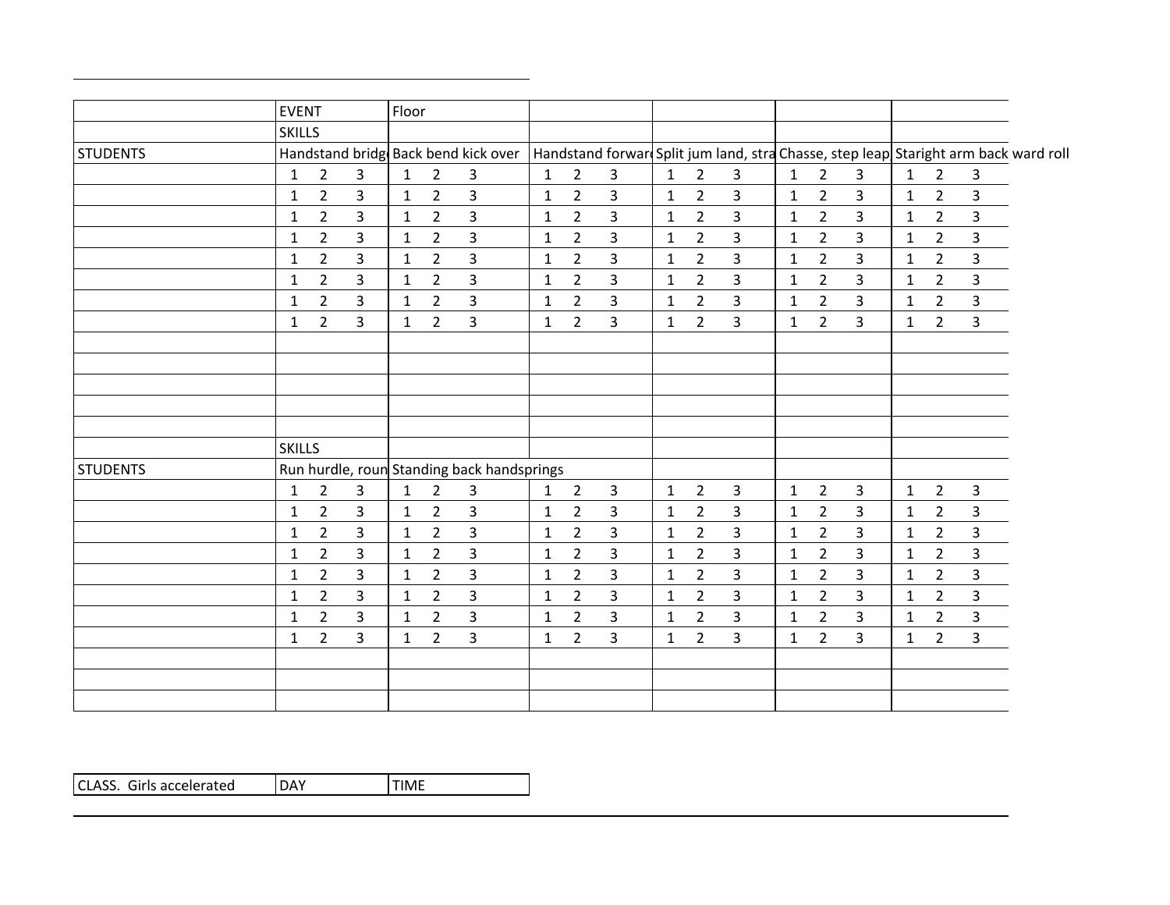|                 | <b>EVENT</b>  |                |   | Floor        |                |                                                                                                                           |              |                |                |              |                |                |              |                |                |              |                |                |  |
|-----------------|---------------|----------------|---|--------------|----------------|---------------------------------------------------------------------------------------------------------------------------|--------------|----------------|----------------|--------------|----------------|----------------|--------------|----------------|----------------|--------------|----------------|----------------|--|
|                 | <b>SKILLS</b> |                |   |              |                |                                                                                                                           |              |                |                |              |                |                |              |                |                |              |                |                |  |
| <b>STUDENTS</b> |               |                |   |              |                | Handstand bridg Back bend kick over   Handstand forwar Split jum land, stra Chasse, step leap Staright arm back ward roll |              |                |                |              |                |                |              |                |                |              |                |                |  |
|                 | 1             | $\overline{2}$ | 3 | $\mathbf{1}$ | 2              | 3                                                                                                                         | $\mathbf{1}$ | $\overline{2}$ | 3              | $\mathbf{1}$ | 2              | 3              | 1            | $\overline{2}$ | 3              | 1            | $\overline{2}$ | 3              |  |
|                 | $\mathbf{1}$  | $\overline{2}$ | 3 | $\mathbf{1}$ | $\overline{2}$ | 3                                                                                                                         | $\mathbf{1}$ | $\overline{2}$ | $\overline{3}$ | $\mathbf{1}$ | $\overline{2}$ | $\overline{3}$ | $\mathbf{1}$ | $\overline{2}$ | $\overline{3}$ | $\mathbf{1}$ | $\overline{2}$ | $\overline{3}$ |  |
|                 | 1             | $\overline{2}$ | 3 | $\mathbf{1}$ | $\overline{2}$ | 3                                                                                                                         | $\mathbf{1}$ | $\overline{2}$ | 3              | 1            | $\overline{2}$ | $\overline{3}$ | $\mathbf{1}$ | $\overline{2}$ | $\mathbf{3}$   | $\mathbf{1}$ | $\overline{2}$ | 3              |  |
|                 | $\mathbf{1}$  | $\overline{2}$ | 3 | $\mathbf{1}$ | $\overline{2}$ | 3                                                                                                                         | $\mathbf{1}$ | $\overline{2}$ | 3              | $\mathbf{1}$ | $\overline{2}$ | $\overline{3}$ | $\mathbf{1}$ | $\overline{2}$ | $\overline{3}$ | $\mathbf{1}$ | $2^{\circ}$    | 3              |  |
|                 | 1             | $\overline{2}$ | 3 | $\mathbf{1}$ | $\overline{2}$ | 3                                                                                                                         | $\mathbf{1}$ | $\overline{2}$ | 3              | $\mathbf{1}$ | $\overline{2}$ | $\overline{3}$ | $\mathbf{1}$ | $\overline{2}$ | 3              | $\mathbf{1}$ | $\overline{2}$ | 3              |  |
|                 | $\mathbf{1}$  | $\overline{2}$ | 3 | $\mathbf{1}$ | $\overline{2}$ | 3                                                                                                                         | $\mathbf{1}$ | $\overline{2}$ | 3              | $\mathbf{1}$ | $\overline{2}$ | $\overline{3}$ | $\mathbf{1}$ | $\overline{2}$ | $\overline{3}$ | $\mathbf{1}$ | $\overline{2}$ | $\overline{3}$ |  |
|                 | $\mathbf{1}$  | $\overline{2}$ | 3 | $\mathbf{1}$ | $\overline{2}$ | 3                                                                                                                         | $\mathbf{1}$ | $\overline{2}$ | $\overline{3}$ | $\mathbf{1}$ | $\overline{2}$ | $\overline{3}$ | $\mathbf{1}$ | $\overline{2}$ | $\overline{3}$ | $\mathbf{1}$ | $2^{\circ}$    | $\overline{3}$ |  |
|                 | $\mathbf{1}$  | $\overline{2}$ | 3 | $\mathbf{1}$ | $\overline{2}$ | $\overline{3}$                                                                                                            | $\mathbf{1}$ | $\overline{2}$ | 3              | $\mathbf{1}$ | $\overline{2}$ | $\overline{3}$ | $\mathbf{1}$ | $\overline{2}$ | $\overline{3}$ | $\mathbf{1}$ | $\overline{2}$ | $\overline{3}$ |  |
|                 |               |                |   |              |                |                                                                                                                           |              |                |                |              |                |                |              |                |                |              |                |                |  |
|                 |               |                |   |              |                |                                                                                                                           |              |                |                |              |                |                |              |                |                |              |                |                |  |
|                 |               |                |   |              |                |                                                                                                                           |              |                |                |              |                |                |              |                |                |              |                |                |  |
|                 |               |                |   |              |                |                                                                                                                           |              |                |                |              |                |                |              |                |                |              |                |                |  |
|                 |               |                |   |              |                |                                                                                                                           |              |                |                |              |                |                |              |                |                |              |                |                |  |
|                 | <b>SKILLS</b> |                |   |              |                |                                                                                                                           |              |                |                |              |                |                |              |                |                |              |                |                |  |
| <b>STUDENTS</b> |               |                |   |              |                | Run hurdle, roun Standing back handsprings                                                                                |              |                |                |              |                |                |              |                |                |              |                |                |  |
|                 | 1             | $\overline{2}$ | 3 | $\mathbf{1}$ | $\overline{2}$ | 3                                                                                                                         | $\mathbf{1}$ | $\overline{2}$ | $\mathbf{3}$   | $\mathbf{1}$ | $\overline{2}$ | $\overline{3}$ | $\mathbf{1}$ | $\overline{2}$ | 3              | $\mathbf{1}$ | $\overline{2}$ | $\mathbf{3}$   |  |
|                 | 1             | $\overline{2}$ | 3 | $\mathbf{1}$ | $\overline{2}$ | 3                                                                                                                         | $\mathbf{1}$ | $\overline{2}$ | 3              | $\mathbf{1}$ | $2^{\circ}$    | $\overline{3}$ | $\mathbf{1}$ | $\overline{2}$ | $\overline{3}$ | $\mathbf{1}$ | $2^{\circ}$    | $\overline{3}$ |  |
|                 | 1             | $\overline{2}$ | 3 | $\mathbf{1}$ | $\overline{2}$ | 3                                                                                                                         | $\mathbf{1}$ | $\overline{2}$ | 3              | $\mathbf{1}$ | $\overline{2}$ | $\overline{3}$ | $\mathbf{1}$ | $\overline{2}$ | $\overline{3}$ | $\mathbf{1}$ | $\overline{2}$ | $\mathbf{3}$   |  |
|                 | 1             | $\overline{2}$ | 3 | $\mathbf{1}$ | $\overline{2}$ | 3                                                                                                                         | 1            | $\overline{2}$ | 3              | 1            | $\overline{2}$ | 3              | $\mathbf{1}$ | $\overline{2}$ | $\overline{3}$ | $\mathbf{1}$ | $\overline{2}$ | 3              |  |
|                 | $\mathbf{1}$  | $\overline{2}$ | 3 | $\mathbf{1}$ | $\overline{2}$ | 3                                                                                                                         | $\mathbf{1}$ | $\overline{2}$ | 3              | $\mathbf{1}$ | $\overline{2}$ | $\overline{3}$ | $\mathbf{1}$ | $\overline{2}$ | $\overline{3}$ | $\mathbf{1}$ | $\overline{2}$ | $\overline{3}$ |  |
|                 | 1             | $\overline{2}$ | 3 | $\mathbf{1}$ | $\overline{2}$ | 3                                                                                                                         | $\mathbf{1}$ | $\overline{2}$ | 3              | $\mathbf{1}$ | $\overline{2}$ | 3              | $\mathbf{1}$ | $\overline{2}$ | $\mathbf{3}$   | $\mathbf{1}$ | $\overline{2}$ | 3              |  |
|                 | 1             | $\overline{2}$ | 3 | $\mathbf{1}$ | $\overline{2}$ | 3                                                                                                                         | $\mathbf{1}$ | $\overline{2}$ | 3              | $\mathbf{1}$ | $\overline{2}$ | $\overline{3}$ | $\mathbf{1}$ | $\overline{2}$ | 3              | $\mathbf{1}$ | $\overline{2}$ | 3              |  |
|                 | 1             | $2^{\circ}$    | 3 | $\mathbf{1}$ | $\overline{2}$ | 3                                                                                                                         | $\mathbf{1}$ | $\overline{2}$ | 3              | $\mathbf{1}$ | $\overline{2}$ | $\overline{3}$ | $\mathbf{1}$ | $\overline{2}$ | $\overline{3}$ | $\mathbf{1}$ | $\overline{2}$ | $\overline{3}$ |  |
|                 |               |                |   |              |                |                                                                                                                           |              |                |                |              |                |                |              |                |                |              |                |                |  |
|                 |               |                |   |              |                |                                                                                                                           |              |                |                |              |                |                |              |                |                |              |                |                |  |
|                 |               |                |   |              |                |                                                                                                                           |              |                |                |              |                |                |              |                |                |              |                |                |  |
|                 |               |                |   |              |                |                                                                                                                           |              |                |                |              |                |                |              |                |                |              |                |                |  |

| l DAY<br>CLASS. Girls accelerated | <b>ITIME</b> |
|-----------------------------------|--------------|
|-----------------------------------|--------------|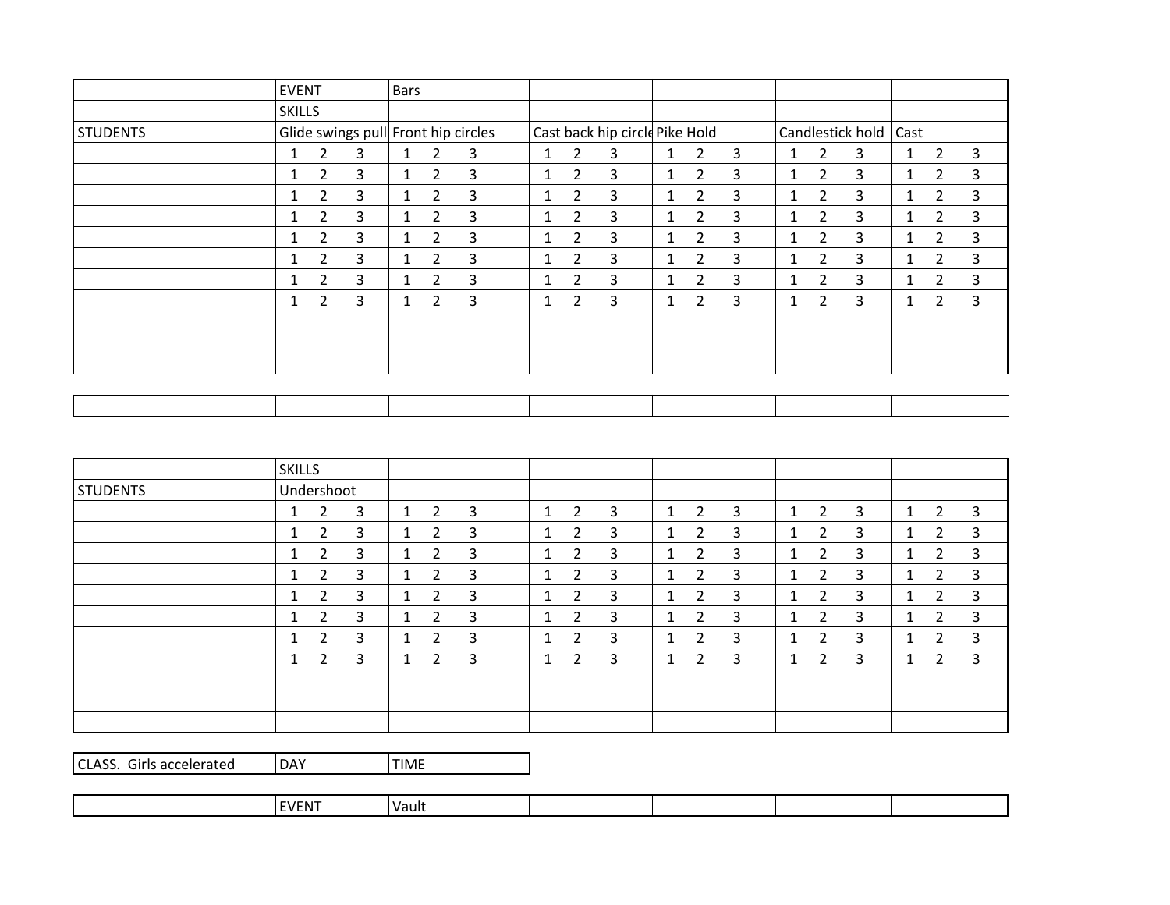|                 | <b>EVENT</b>  |                       |                                     | <b>Bars</b>  |                       |   |              |                |                                |              |                |   |   |                |                         |                 |                |   |
|-----------------|---------------|-----------------------|-------------------------------------|--------------|-----------------------|---|--------------|----------------|--------------------------------|--------------|----------------|---|---|----------------|-------------------------|-----------------|----------------|---|
|                 | <b>SKILLS</b> |                       |                                     |              |                       |   |              |                |                                |              |                |   |   |                |                         |                 |                |   |
| <b>STUDENTS</b> |               |                       | Glide swings pull Front hip circles |              |                       |   |              |                | Cast back hip circle Pike Hold |              |                |   |   |                | Candlestick hold   Cast |                 |                |   |
|                 | 1             | 2                     | 3                                   | $\mathbf{1}$ | 2                     | 3 | 1            | 2              | 3                              | $\mathbf{1}$ | $\overline{2}$ | 3 | 1 | $\overline{2}$ | 3                       | $\mathbf{1}$    | 2              | 3 |
|                 | 1             | $\overline{2}$        | 3                                   | $\mathbf{1}$ | $\overline{2}$        | 3 | 1            | 2              | 3                              | 1            | $\overline{2}$ | 3 | 1 | $\overline{2}$ | 3                       | $1\overline{ }$ | $\overline{2}$ | 3 |
|                 |               | $\mathbf{2}^{\prime}$ | $\overline{3}$                      |              | $\mathbf{2}^{\prime}$ | 3 | 1            | $\overline{2}$ | 3                              | $\mathbf{1}$ | $\overline{2}$ | 3 | 1 | $\overline{2}$ | 3                       | $\mathbf{1}$    | 2              | 3 |
|                 |               | 2                     | 3                                   | $\mathbf{1}$ | 2                     | 3 | 1            | $\overline{2}$ | 3                              | $\mathbf{1}$ | 2              | 3 | 1 | $\overline{2}$ | 3                       | $1\overline{ }$ | 2              | 3 |
|                 | 1             | $\overline{2}$        | 3                                   | $\mathbf{1}$ | $\overline{2}$        | 3 | 1            | $\overline{2}$ | 3                              | 1            | $\overline{2}$ | 3 | 1 | $\overline{2}$ | 3                       | 1.              | $\overline{2}$ | 3 |
|                 |               | $\overline{2}$        | $\overline{3}$                      | $\mathbf{1}$ | $\overline{2}$        | 3 | 1            | $\overline{2}$ | 3                              | $\mathbf{1}$ | $\overline{2}$ | 3 | 1 | $\overline{2}$ | 3                       | $\mathbf{1}$    | $\overline{2}$ | 3 |
|                 |               | 2                     | 3                                   | $\mathbf{1}$ | 2                     | 3 | 1            | 2              | 3                              | 1            | 2              | 3 | 1 | $\overline{2}$ | 3                       | 1               | $\overline{2}$ | 3 |
|                 | 1             | 2                     | 3                                   | $\mathbf{1}$ | 2                     | 3 | $\mathbf{1}$ | 2              | 3                              | 1            | $\overline{2}$ | 3 | 1 | $\overline{2}$ | 3                       | $1\overline{ }$ | 2              | 3 |
|                 |               |                       |                                     |              |                       |   |              |                |                                |              |                |   |   |                |                         |                 |                |   |
|                 |               |                       |                                     |              |                       |   |              |                |                                |              |                |   |   |                |                         |                 |                |   |
|                 |               |                       |                                     |              |                       |   |              |                |                                |              |                |   |   |                |                         |                 |                |   |
|                 |               |                       |                                     |              |                       |   |              |                |                                |              |                |   |   |                |                         |                 |                |   |
|                 |               |                       |                                     |              |                       |   |              |                |                                |              |                |   |   |                |                         |                 |                |   |

|                 | <b>SKILLS</b>            |   |                |   |              |                |   |                |   |   |               |                |   |              |                |                |
|-----------------|--------------------------|---|----------------|---|--------------|----------------|---|----------------|---|---|---------------|----------------|---|--------------|----------------|----------------|
| <b>STUDENTS</b> | Undershoot               |   |                |   |              |                |   |                |   |   |               |                |   |              |                |                |
|                 | 3<br>2<br>1              | 1 | 2              | 3 | 1            | 2              | 3 | -1             | 2 | 3 | 1             | 2              | 3 | $\mathbf{1}$ | $\overline{2}$ | 3              |
|                 | 3<br>$\overline{2}$<br>л | и | 2              | 3 | $\mathbf{1}$ | 2              | 3 | ٠              | 2 | 3 | -1<br>$\perp$ | $\overline{2}$ | 3 | $\mathbf{1}$ | $\overline{2}$ | $\overline{3}$ |
|                 | 3<br>2<br>и              | 1 | 2              | 3 | 1            | 2              | 3 | $\overline{ }$ | 2 | 3 |               | 2              | 3 | 1            | 2              | 3              |
|                 | 3<br>2<br>1              | 1 | 2              | 3 | $\mathbf{1}$ | 2              | 3 | ٠              | 2 | 3 | 1             | $\overline{2}$ | 3 | $\mathbf{1}$ | 2              | 3              |
|                 | 3<br>$\overline{2}$      | 1 | 2              | 3 | $\mathbf{1}$ | $\overline{2}$ | 3 | и              | 2 | 3 | -1            | $\overline{2}$ | 3 | $\mathbf{1}$ | 2              | 3              |
|                 | 3<br>2<br>1              | 1 | 2              | 3 | $\mathbf{1}$ | 2              | 3 | и              | 2 | 3 | -1            | 2              | 3 | 1            | $\overline{2}$ | 3              |
|                 | 3<br>2<br>ш              | ٠ | $\overline{2}$ | 3 | $\mathbf{1}$ | 2              | 3 | $\overline{ }$ | 2 | 3 | и<br>Ŧ        | $\overline{2}$ | 3 | $\mathbf{1}$ | $\overline{2}$ | 3              |
|                 | 3<br>2<br>٠              | и | 2              | 3 | 1            | 2              | 3 | и              | 2 | 3 |               | 2              | 3 | T            | 2              | 3              |
|                 |                          |   |                |   |              |                |   |                |   |   |               |                |   |              |                |                |
|                 |                          |   |                |   |              |                |   |                |   |   |               |                |   |              |                |                |
|                 |                          |   |                |   |              |                |   |                |   |   |               |                |   |              |                |                |

| CLASS. Girls accelerated | <b>IDAY</b> | l TIME |
|--------------------------|-------------|--------|
|--------------------------|-------------|--------|

| $\sim$ $  -$<br>Vault<br>m |  |  |  |  |  |  |  |  |
|----------------------------|--|--|--|--|--|--|--|--|
|----------------------------|--|--|--|--|--|--|--|--|